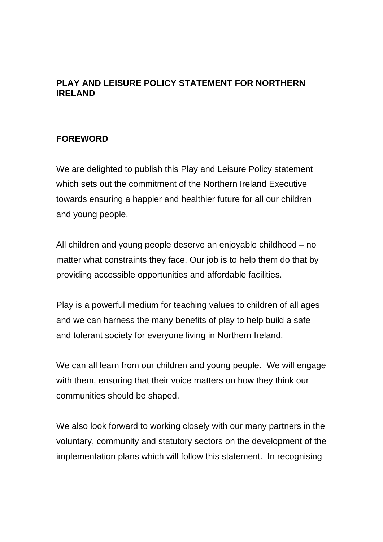# **PLAY AND LEISURE POLICY STATEMENT FOR NORTHERN IRELAND**

# **FOREWORD**

We are delighted to publish this Play and Leisure Policy statement which sets out the commitment of the Northern Ireland Executive towards ensuring a happier and healthier future for all our children and young people.

All children and young people deserve an enjoyable childhood – no matter what constraints they face. Our job is to help them do that by providing accessible opportunities and affordable facilities.

Play is a powerful medium for teaching values to children of all ages and we can harness the many benefits of play to help build a safe and tolerant society for everyone living in Northern Ireland.

We can all learn from our children and young people. We will engage with them, ensuring that their voice matters on how they think our communities should be shaped.

We also look forward to working closely with our many partners in the voluntary, community and statutory sectors on the development of the implementation plans which will follow this statement. In recognising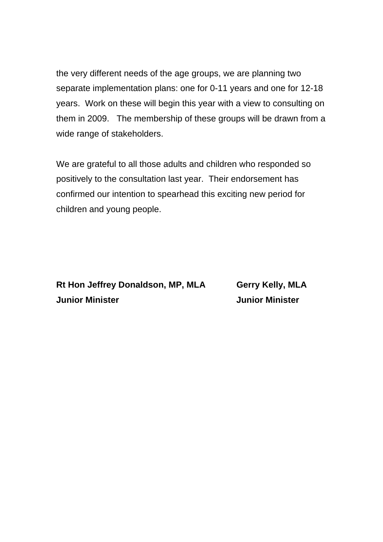the very different needs of the age groups, we are planning two separate implementation plans: one for 0-11 years and one for 12-18 years. Work on these will begin this year with a view to consulting on them in 2009. The membership of these groups will be drawn from a wide range of stakeholders.

We are grateful to all those adults and children who responded so positively to the consultation last year. Their endorsement has confirmed our intention to spearhead this exciting new period for children and young people.

Rt Hon Jeffrey Donaldson, MP, MLA **Gerry Kelly, MLA Junior Minister Junior Minister**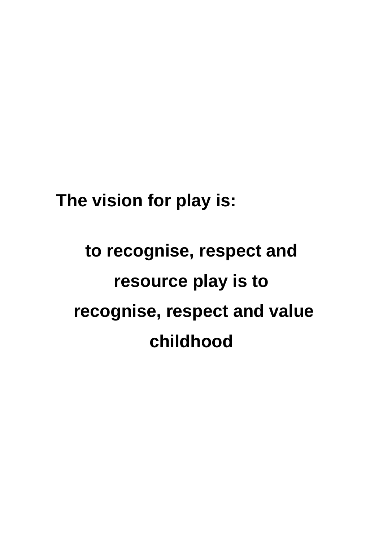**The vision for play is:** 

# **to recognise, respect and resource play is to recognise, respect and value childhood**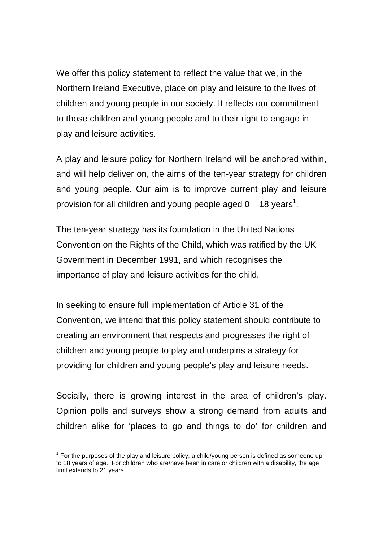We offer this policy statement to reflect the value that we, in the Northern Ireland Executive, place on play and leisure to the lives of children and young people in our society. It reflects our commitment to those children and young people and to their right to engage in play and leisure activities.

A play and leisure policy for Northern Ireland will be anchored within, and will help deliver on, the aims of the ten-year strategy for children and young people. Our aim is to improve current play and leisure provision for all children and young people aged  $0-18$  years<sup>1</sup>.

The ten-year strategy has its foundation in the United Nations Convention on the Rights of the Child, which was ratified by the UK Government in December 1991, and which recognises the importance of play and leisure activities for the child.

In seeking to ensure full implementation of Article 31 of the Convention, we intend that this policy statement should contribute to creating an environment that respects and progresses the right of children and young people to play and underpins a strategy for providing for children and young people's play and leisure needs.

Socially, there is growing interest in the area of children's play. Opinion polls and surveys show a strong demand from adults and children alike for 'places to go and things to do' for children and

 $\overline{a}$ 

 $1$  For the purposes of the play and leisure policy, a child/young person is defined as someone up to 18 years of age. For children who are/have been in care or children with a disability, the age limit extends to 21 years.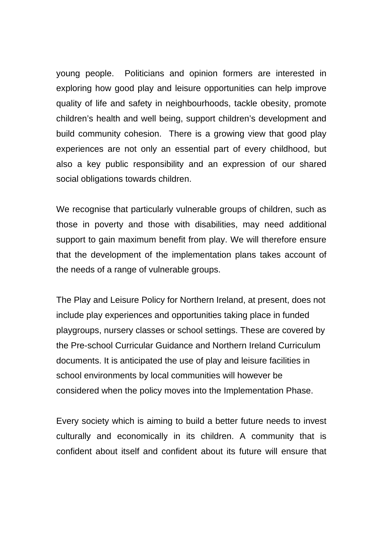young people. Politicians and opinion formers are interested in exploring how good play and leisure opportunities can help improve quality of life and safety in neighbourhoods, tackle obesity, promote children's health and well being, support children's development and build community cohesion. There is a growing view that good play experiences are not only an essential part of every childhood, but also a key public responsibility and an expression of our shared social obligations towards children.

We recognise that particularly vulnerable groups of children, such as those in poverty and those with disabilities, may need additional support to gain maximum benefit from play. We will therefore ensure that the development of the implementation plans takes account of the needs of a range of vulnerable groups.

The Play and Leisure Policy for Northern Ireland, at present, does not include play experiences and opportunities taking place in funded playgroups, nursery classes or school settings. These are covered by the Pre-school Curricular Guidance and Northern Ireland Curriculum documents. It is anticipated the use of play and leisure facilities in school environments by local communities will however be considered when the policy moves into the Implementation Phase.

Every society which is aiming to build a better future needs to invest culturally and economically in its children. A community that is confident about itself and confident about its future will ensure that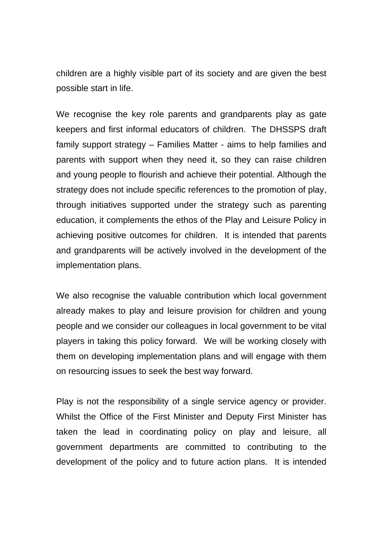children are a highly visible part of its society and are given the best possible start in life.

 keepers and first informal educators of children. The DHSSPS draft We recognise the key role parents and grandparents play as gate family support strategy – Families Matter - aims to help families and parents with support when they need it, so they can raise children and young people to flourish and achieve their potential. Although the strategy does not include specific references to the promotion of play, through initiatives supported under the strategy such as parenting education, it complements the ethos of the Play and Leisure Policy in achieving positive outcomes for children. It is intended that parents and grandparents will be actively involved in the development of the implementation plans.

We also recognise the valuable contribution which local government already makes to play and leisure provision for children and young people and we consider our colleagues in local government to be vital players in taking this policy forward. We will be working closely with them on developing implementation plans and will engage with them on resourcing issues to seek the best way forward.

Play is not the responsibility of a single service agency or provider. Whilst the Office of the First Minister and Deputy First Minister has taken the lead in coordinating policy on play and leisure, all government departments are committed to contributing to the development of the policy and to future action plans. It is intended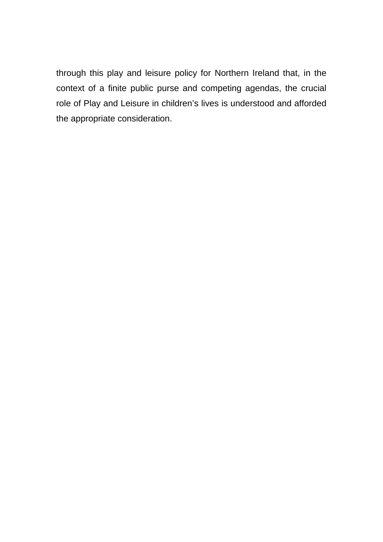through this play and leisure policy for Northern Ireland that, in the context of a finite public purse and competing agendas, the crucial role of Play and Leisure in children's lives is understood and afforded the appropriate consideration.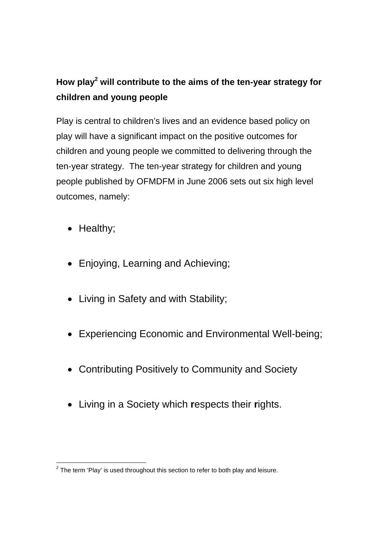# **How play<sup>2</sup> will contribute to the aims of the ten-year strategy for children and young people**

Play is central to children's lives and an evidence based policy on play will have a significant impact on the positive outcomes for children and young people we committed to delivering through the ten-year strategy. The ten-year strategy for children and young people published by OFMDFM in June 2006 sets out six high level outcomes, namely:

- Healthy;
- Enjoying, Learning and Achieving;
- Living in Safety and with Stability;
- Experiencing Economic and Environmental Well-being;
- Contributing Positively to Community and Society
- Living in a Society which **r**espects their **r**ights.

 $\frac{2}{\pi}$ The term 'Play' is used throughout this section to refer to both play and leisure.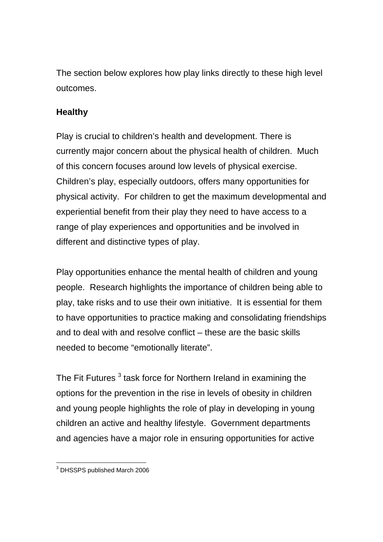The section below explores how play links directly to these high level outcomes.

# **Healthy**

Play is crucial to children's health and development. There is currently major concern about the physical health of children. Much of this concern focuses around low levels of physical exercise. Children's play, especially outdoors, offers many opportunities for physical activity. For children to get the maximum developmental and experiential benefit from their play they need to have access to a range of play experiences and opportunities and be involved in different and distinctive types of play.

Play opportunities enhance the mental health of children and young people. Research highlights the importance of children being able to play, take risks and to use their own initiative. It is essential for them to have opportunities to practice making and consolidating friendships and to deal with and resolve conflict – these are the basic skills needed to become "emotionally literate".

The Fit Futures  $^3$  task force for Northern Ireland in examining the options for the prevention in the rise in levels of obesity in children and young people highlights the role of play in developing in young children an active and healthy lifestyle. Government departments and agencies have a major role in ensuring opportunities for active

 3 DHSSPS published March 2006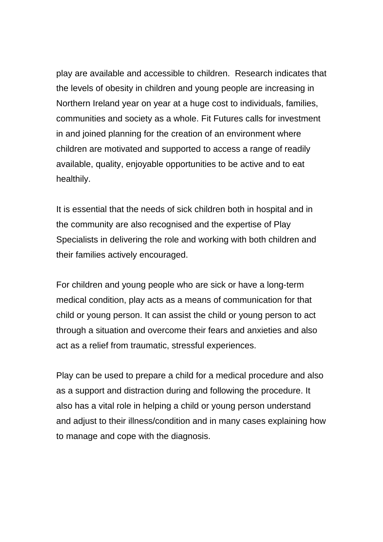play are available and accessible to children. Research indicates that the levels of obesity in children and young people are increasing in Northern Ireland year on year at a huge cost to individuals, families, communities and society as a whole. Fit Futures calls for investment in and joined planning for the creation of an environment where children are motivated and supported to access a range of readily available, quality, enjoyable opportunities to be active and to eat healthily.

It is essential that the needs of sick children both in hospital and in the community are also recognised and the expertise of Play Specialists in delivering the role and working with both children and their families actively encouraged.

For children and young people who are sick or have a long-term medical condition, play acts as a means of communication for that child or young person. It can assist the child or young person to act through a situation and overcome their fears and anxieties and also act as a relief from traumatic, stressful experiences.

Play can be used to prepare a child for a medical procedure and also as a support and distraction during and following the procedure. It also has a vital role in helping a child or young person understand and adjust to their illness/condition and in many cases explaining how to manage and cope with the diagnosis.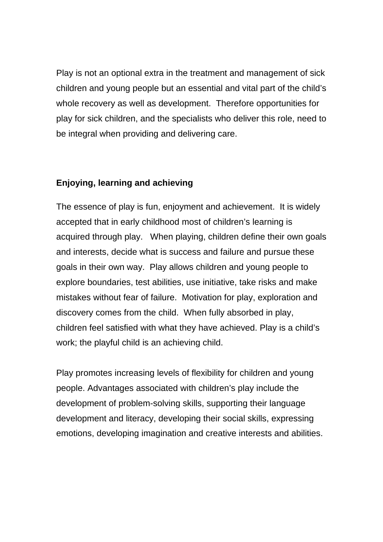Play is not an optional extra in the treatment and management of sick children and young people but an essential and vital part of the child's whole recovery as well as development. Therefore opportunities for play for sick children, and the specialists who deliver this role, need to be integral when providing and delivering care.

#### **Enjoying, learning and achieving**

The essence of play is fun, enjoyment and achievement. It is widely accepted that in early childhood most of children's learning is acquired through play. When playing, children define their own goals and interests, decide what is success and failure and pursue these goals in their own way. Play allows children and young people to explore boundaries, test abilities, use initiative, take risks and make mistakes without fear of failure. Motivation for play, exploration and discovery comes from the child. When fully absorbed in play, children feel satisfied with what they have achieved. Play is a child's work; the playful child is an achieving child.

Play promotes increasing levels of flexibility for children and young people. Advantages associated with children's play include the development of problem-solving skills, supporting their language development and literacy, developing their social skills, expressing emotions, developing imagination and creative interests and abilities.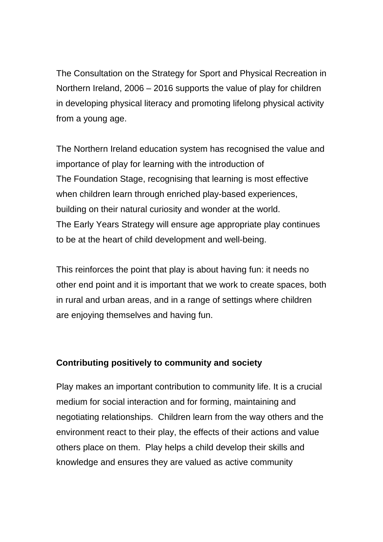The Consultation on the Strategy for Sport and Physical Recreation in Northern Ireland, 2006 – 2016 supports the value of play for children in developing physical literacy and promoting lifelong physical activity from a young age.

The Northern Ireland education system has recognised the value and importance of play for learning with the introduction of The Foundation Stage, recognising that learning is most effective when children learn through enriched play-based experiences, building on their natural curiosity and wonder at the world. The Early Years Strategy will ensure age appropriate play continues to be at the heart of child development and well-being.

This reinforces the point that play is about having fun: it needs no other end point and it is important that we work to create spaces, both in rural and urban areas, and in a range of settings where children are enjoying themselves and having fun.

#### **Contributing positively to community and society**

Play makes an important contribution to community life. It is a crucial medium for social interaction and for forming, maintaining and negotiating relationships. Children learn from the way others and the environment react to their play, the effects of their actions and value others place on them. Play helps a child develop their skills and knowledge and ensures they are valued as active community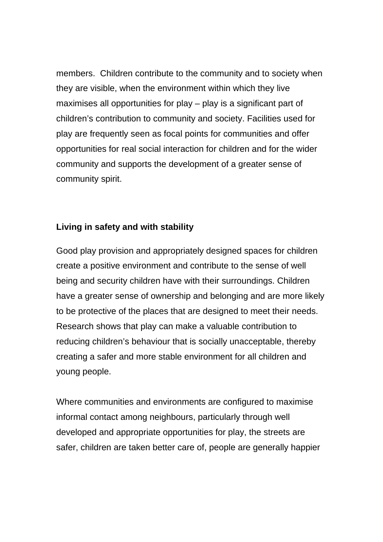members. Children contribute to the community and to society when they are visible, when the environment within which they live maximises all opportunities for play – play is a significant part of children's contribution to community and society. Facilities used for play are frequently seen as focal points for communities and offer opportunities for real social interaction for children and for the wider community and supports the development of a greater sense of community spirit.

#### **Living in safety and with stability**

Good play provision and appropriately designed spaces for children create a positive environment and contribute to the sense of well being and security children have with their surroundings. Children have a greater sense of ownership and belonging and are more likely to be protective of the places that are designed to meet their needs. Research shows that play can make a valuable contribution to reducing children's behaviour that is socially unacceptable, thereby creating a safer and more stable environment for all children and young people.

 informal contact among neighbours, particularly through well Where communities and environments are configured to maximise developed and appropriate opportunities for play, the streets are safer, children are taken better care of, people are generally happier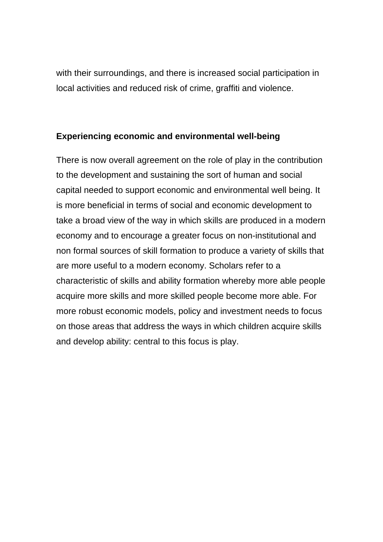with their surroundings, and there is increased social participation in local activities and reduced risk of crime, graffiti and violence.

#### **Experiencing economic and environmental well-being**

There is now overall agreement on the role of play in the contribution to the development and sustaining the sort of human and social capital needed to support economic and environmental well being. It is more beneficial in terms of social and economic development to take a broad view of the way in which skills are produced in a modern economy and to encourage a greater focus on non-institutional and non formal sources of skill formation to produce a variety of skills that are more useful to a modern economy. Scholars refer to a characteristic of skills and ability formation whereby more able people acquire more skills and more skilled people become more able. For more robust economic models, policy and investment needs to focus on those areas that address the ways in which children acquire skills and develop ability: central to this focus is play.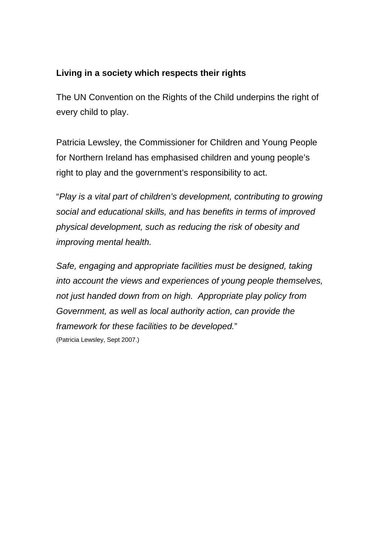#### **Living in a society which respects their rights**

The UN Convention on the Rights of the Child underpins the right of every child to play.

Patricia Lewsley, the Commissioner for Children and Young People for Northern Ireland has emphasised children and young people's right to play and the government's responsibility to act.

"*Play is a vital part of children's development, contributing to growing social and educational skills, and has benefits in terms of improved physical development, such as reducing the risk of obesity and improving mental health.* 

*Safe, engaging and appropriate facilities must be designed, taking into account the views and experiences of young people themselves, not just handed down from on high. Appropriate play policy from Government, as well as local authority action, can provide the framework for these facilities to be developed.*" (Patricia Lewsley, Sept 2007.)